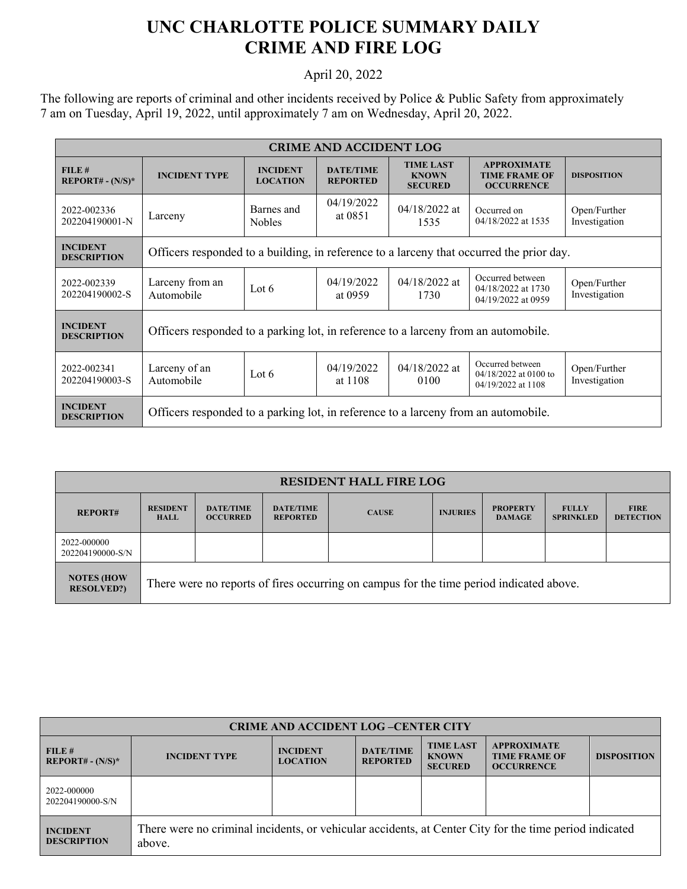## **UNC CHARLOTTE POLICE SUMMARY DAILY CRIME AND FIRE LOG**

## April 20, 2022

The following are reports of criminal and other incidents received by Police & Public Safety from approximately 7 am on Tuesday, April 19, 2022, until approximately 7 am on Wednesday, April 20, 2022.

| <b>CRIME AND ACCIDENT LOG</b>                  |                                                                                          |                                    |                                     |                                                    |                                                                   |                               |  |
|------------------------------------------------|------------------------------------------------------------------------------------------|------------------------------------|-------------------------------------|----------------------------------------------------|-------------------------------------------------------------------|-------------------------------|--|
| FILE#<br><b>REPORT# - <math>(N/S)^*</math></b> | <b>INCIDENT TYPE</b>                                                                     | <b>INCIDENT</b><br><b>LOCATION</b> | <b>DATE/TIME</b><br><b>REPORTED</b> | <b>TIME LAST</b><br><b>KNOWN</b><br><b>SECURED</b> | <b>APPROXIMATE</b><br><b>TIME FRAME OF</b><br><b>OCCURRENCE</b>   | <b>DISPOSITION</b>            |  |
| 2022-002336<br>202204190001-N                  | Larceny                                                                                  | Barnes and<br><b>Nobles</b>        | 04/19/2022<br>at 0851               | $04/18/2022$ at<br>1535                            | Occurred on<br>04/18/2022 at 1535                                 | Open/Further<br>Investigation |  |
| <b>INCIDENT</b><br><b>DESCRIPTION</b>          | Officers responded to a building, in reference to a larceny that occurred the prior day. |                                    |                                     |                                                    |                                                                   |                               |  |
| 2022-002339<br>202204190002-S                  | Larceny from an<br>Automobile                                                            | Lot $6$                            | 04/19/2022<br>at 0959               | $04/18/2022$ at<br>1730                            | Occurred between<br>04/18/2022 at 1730<br>04/19/2022 at 0959      | Open/Further<br>Investigation |  |
| <b>INCIDENT</b><br><b>DESCRIPTION</b>          | Officers responded to a parking lot, in reference to a larceny from an automobile.       |                                    |                                     |                                                    |                                                                   |                               |  |
| 2022-002341<br>202204190003-S                  | Larceny of an<br>Automobile                                                              | Lot 6                              | 04/19/2022<br>at 1108               | $04/18/2022$ at<br>0100                            | Occurred between<br>$04/18/2022$ at 0100 to<br>04/19/2022 at 1108 | Open/Further<br>Investigation |  |
| <b>INCIDENT</b><br><b>DESCRIPTION</b>          | Officers responded to a parking lot, in reference to a larceny from an automobile.       |                                    |                                     |                                                    |                                                                   |                               |  |

| <b>RESIDENT HALL FIRE LOG</b>          |                                                                                         |                                     |                                     |              |                 |                                  |                                  |                                 |
|----------------------------------------|-----------------------------------------------------------------------------------------|-------------------------------------|-------------------------------------|--------------|-----------------|----------------------------------|----------------------------------|---------------------------------|
| <b>REPORT#</b>                         | <b>RESIDENT</b><br><b>HALL</b>                                                          | <b>DATE/TIME</b><br><b>OCCURRED</b> | <b>DATE/TIME</b><br><b>REPORTED</b> | <b>CAUSE</b> | <b>INJURIES</b> | <b>PROPERTY</b><br><b>DAMAGE</b> | <b>FULLY</b><br><b>SPRINKLED</b> | <b>FIRE</b><br><b>DETECTION</b> |
| 2022-000000<br>202204190000-S/N        |                                                                                         |                                     |                                     |              |                 |                                  |                                  |                                 |
| <b>NOTES (HOW</b><br><b>RESOLVED?)</b> | There were no reports of fires occurring on campus for the time period indicated above. |                                     |                                     |              |                 |                                  |                                  |                                 |

| <b>CRIME AND ACCIDENT LOG-CENTER CITY</b> |                                                                                                                  |                                    |                                     |                                                    |                                                                 |                    |  |
|-------------------------------------------|------------------------------------------------------------------------------------------------------------------|------------------------------------|-------------------------------------|----------------------------------------------------|-----------------------------------------------------------------|--------------------|--|
| FILE H<br>$REPORT# - (N/S)*$              | <b>INCIDENT TYPE</b>                                                                                             | <b>INCIDENT</b><br><b>LOCATION</b> | <b>DATE/TIME</b><br><b>REPORTED</b> | <b>TIME LAST</b><br><b>KNOWN</b><br><b>SECURED</b> | <b>APPROXIMATE</b><br><b>TIME FRAME OF</b><br><b>OCCURRENCE</b> | <b>DISPOSITION</b> |  |
| 2022-000000<br>202204190000-S/N           |                                                                                                                  |                                    |                                     |                                                    |                                                                 |                    |  |
| <b>INCIDENT</b><br><b>DESCRIPTION</b>     | There were no criminal incidents, or vehicular accidents, at Center City for the time period indicated<br>above. |                                    |                                     |                                                    |                                                                 |                    |  |